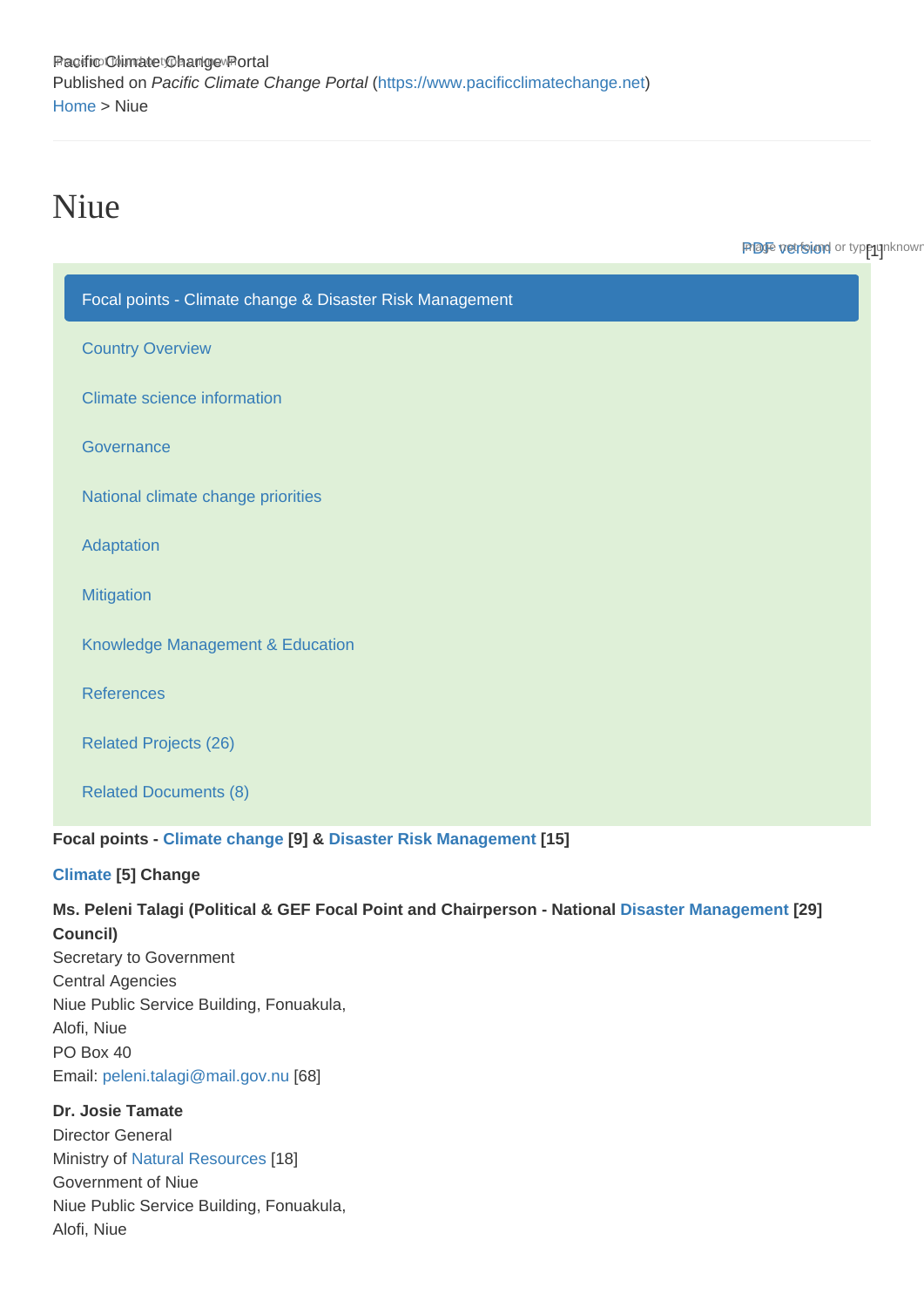Pacific Climate Dhange Portal Published on Pacific Climate Change Portal ([https://www.pacificclimatechange.net\)](https://www.pacificclimatechange.net) [Home](https://www.pacificclimatechange.net/) > Niue

# Niue

**Prage version** or type unknown

| Focal points - Climate change & Disaster Risk Management                                                                                                                                                                                                     |                          |  |
|--------------------------------------------------------------------------------------------------------------------------------------------------------------------------------------------------------------------------------------------------------------|--------------------------|--|
| <b>Country Overview</b>                                                                                                                                                                                                                                      |                          |  |
| <b>Climate science information</b>                                                                                                                                                                                                                           |                          |  |
| Governance                                                                                                                                                                                                                                                   |                          |  |
| National climate change priorities                                                                                                                                                                                                                           |                          |  |
| Adaptation                                                                                                                                                                                                                                                   |                          |  |
| <b>Mitigation</b>                                                                                                                                                                                                                                            |                          |  |
| Knowledge Management & Education                                                                                                                                                                                                                             |                          |  |
| <b>References</b>                                                                                                                                                                                                                                            |                          |  |
| <b>Related Projects (26)</b>                                                                                                                                                                                                                                 |                          |  |
| <b>Related Documents (8)</b>                                                                                                                                                                                                                                 |                          |  |
| Focal points - Climate change [9] & Disaster Risk Management [15]<br>Climate [5] Change                                                                                                                                                                      |                          |  |
| Ms. Peleni Talagi (Political & GEF Focal Point and Chairperson - National<br>Council)<br>Secretary to Government<br><b>Central Agencies</b><br>Niue Public Service Building, Fonuakula,<br>Alofi, Niue<br>PO Box 40<br>Email: peleni.talagi@mail.gov.nu [68] | Disaster Management [29] |  |
| Dr. Josie Tamate<br><b>Director General</b><br>Ministry of Natural Resources [18]<br>Government of Niue<br>Niue Public Service Building, Fonuakula,<br>Alofi, Niue                                                                                           |                          |  |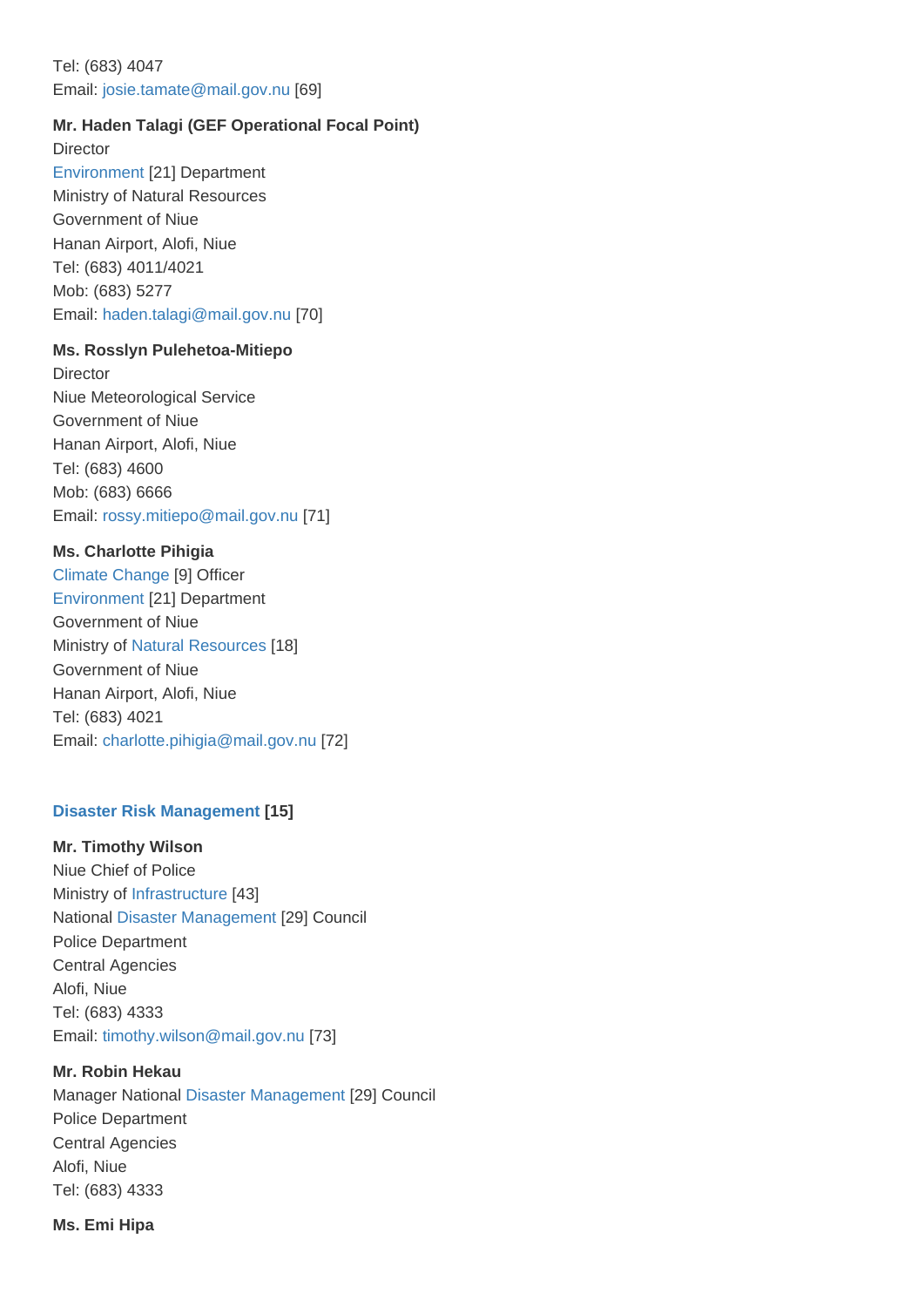## Tel: (683) 4047 Email: [josie.tamate@mail.gov.nu](mailto:josie.tamate@mail.gov.nu) [69]

Mr. Haden Talagi (GEF Operational Focal Point) **Director** [Environment](https://www.pacificclimatechange.net/glossary/letter_e#Environment) [21] Department Ministry of Natural Resources Government of Niue Hanan Airport, Alofi, Niue Tel: (683) 4011/4021 Mob: (683) 5277 Email: [haden.talagi@mail.gov.nu](mailto:haden.talagi@mail.gov.nu) [70]

Ms. Rosslyn Pulehetoa-Mitiepo **Director** Niue Meteorological Service Government of Niue Hanan Airport, Alofi, Niue Tel: (683) 4600 Mob: (683) 6666 Email: [rossy.mitiepo@mail.gov.nu](mailto:rossy.mitiepo@mail.gov.nu) [71]

Ms. Charlotte Pihigia [Climate Change](https://www.pacificclimatechange.net/glossary/letter_c#Climate_Change) [9] Officer [Environment](https://www.pacificclimatechange.net/glossary/letter_e#Environment) [21] Department Government of Niue Ministry of [Natural Resources](https://www.pacificclimatechange.net/glossary/letter_n#Natural_resources) [18] Government of Niue Hanan Airport, Alofi, Niue Tel: (683) 4021 Email: [charlotte.pihigia@mail.gov.nu](mailto:charlotte.pihigia@mail.gov.nu) [72]

#### [Disaster Risk Management](https://www.pacificclimatechange.net/glossary/letter_d#Disaster_Risk_Management) [15]

Mr. Timothy Wilson Niue Chief of Police Ministry of [Infrastructure](https://www.pacificclimatechange.net/glossary/letter_i#Infrastructure) [43] National [Disaster Management](https://www.pacificclimatechange.net/glossary/letter_d#Disaster_Management) [29] Council Police Department Central Agencies Alofi, Niue Tel: (683) 4333 Email: [timothy.wilson@mail.gov.nu](mailto:timothy.wilson@mail.gov.nu) [73]

Mr. Robin Hekau Manager National [Disaster Management](https://www.pacificclimatechange.net/glossary/letter_d#Disaster_Management) [29] Council Police Department Central Agencies Alofi, Niue Tel: (683) 4333

Ms. Emi Hipa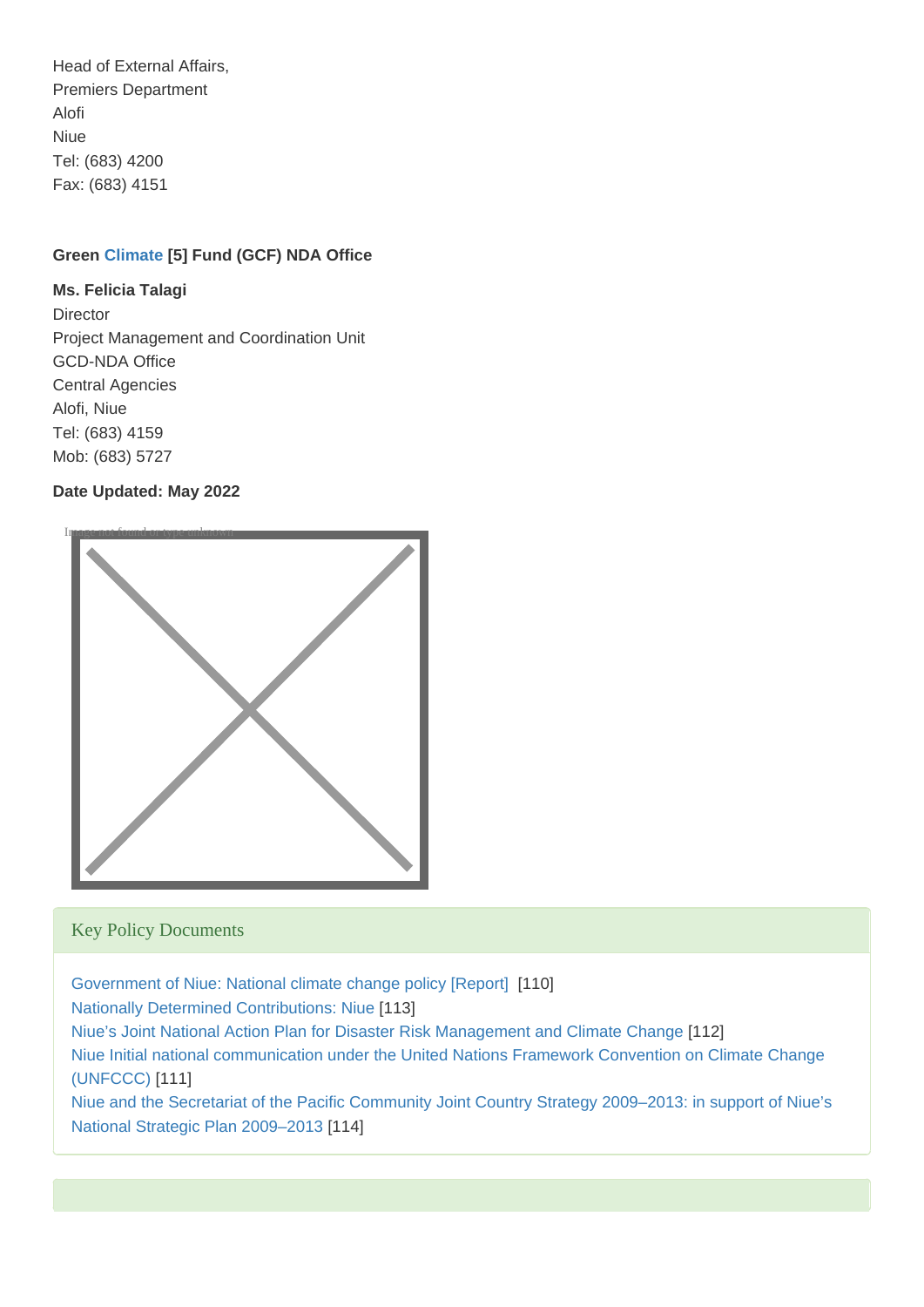Head of External Affairs, Premiers Department Alofi Niue Tel: (683) 4200 Fax: (683) 4151

Green [Climate](https://www.pacificclimatechange.net/glossary/letter_c#Climate) [5] Fund (GCF) NDA Office

Ms. Felicia Talagi **Director** Project Management and Coordination Unit GCD-NDA Office Central Agencies Alofi, Niue Tel: (683) 4159 Mob: (683) 5727

Date Updated: May 2022



## Key Policy Documents

[Government of Niue: National climate change policy \[Report\]](https://www.pacificclimatechange.net/node/4762) [110] [Nationally Determined Contributions: Niue](https://www.pacificclimatechange.net/node/23229) [113] [Niue's Joint National Action Plan for Disaster Risk Management and Climate Change](https://www.pacificclimatechange.net/node/10100) [112] [Niue Initial national communication under the United Nations Framework Convention on Climate Change](https://www.pacificclimatechange.net/node/22858)  [\(UNFCCC\)](https://www.pacificclimatechange.net/node/22858) [111] [Niue and the Secretariat of the Pacific Community Joint Country Strategy 2009–2013: in support of Niue's](https://www.pacificclimatechange.net/node/4918) 

[National Strategic Plan 2009–2013](https://www.pacificclimatechange.net/node/4918) [114]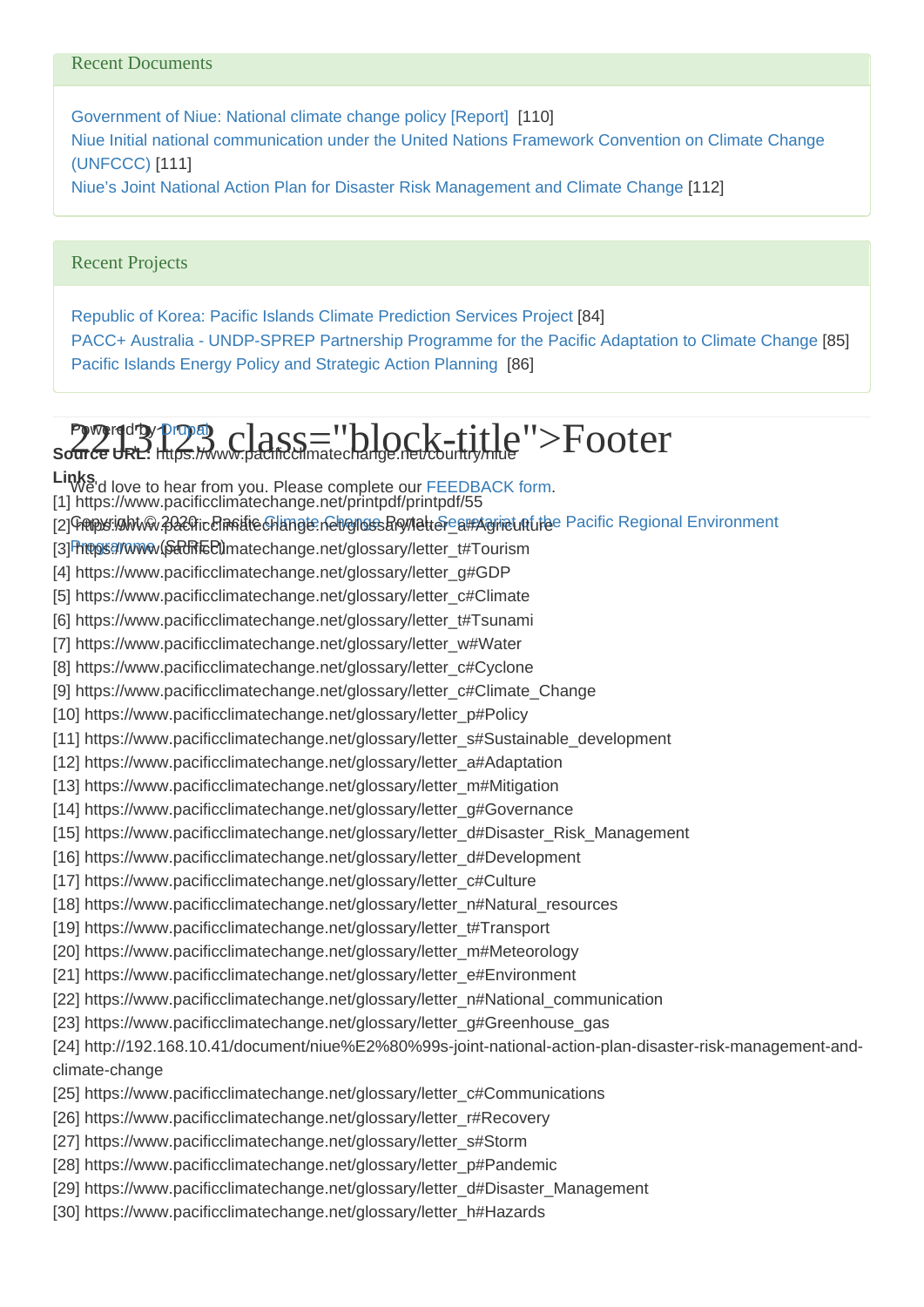#### Recent Documents

[Government of Niue: National climate change policy \[Report\]](https://www.pacificclimatechange.net/node/4762) [110] [Niue Initial national communication under the United Nations Framework Convention on Climate Change](https://www.pacificclimatechange.net/node/22858)  [\(UNFCCC\)](https://www.pacificclimatechange.net/node/22858) [111] [Niue's Joint National Action Plan for Disaster Risk Management and Climate Change](https://www.pacificclimatechange.net/node/10100) [112]

#### Recent Projects

[Republic of Korea: Pacific Islands Climate Prediction Services Project](https://www.pacificclimatechange.net/node/9475) [84] [PACC+ Australia - UNDP-SPREP Partnership Programme for the Pacific Adaptation to Climate Change](https://www.pacificclimatechange.net/node/9493) [85] [Pacific Islands Energy Policy and Strategic Action Planning](https://www.pacificclimatechange.net/node/9504) [86]

# **Puged by Drup 3. class="block-title">Footer** Source URL: https://www.pacificclimatechange.net/country/niue

Links<br>We'd love to hear from you. Please complete our [FEEDBACK form](https://docs.google.com/forms/d/11OrIHNIWuk_RFRfwHWoAqCBwRzl1rfVc9B1ynvXYVVU/viewform?c=0&w=1). [2] Geopy: ghtw 2020 ic Clanitie Change. net gloss Browletter\_a#Agriculture Pacific Regional Environment [3] https://www.parkEd)matechange.net/glossary/letter\_t#Tourism [1] https://www.pacificclimatechange.net/printpdf/printpdf/55 [4] https://www.pacificclimatechange.net/glossary/letter\_g#GDP [5] https://www.pacificclimatechange.net/glossary/letter\_c#Climate [6] https://www.pacificclimatechange.net/glossary/letter\_t#Tsunami [7] https://www.pacificclimatechange.net/glossary/letter\_w#Water [8] https://www.pacificclimatechange.net/glossary/letter\_c#Cyclone [9] https://www.pacificclimatechange.net/glossary/letter\_c#Climate\_Change [10] https://www.pacificclimatechange.net/glossary/letter\_p#Policy [11] https://www.pacificclimatechange.net/glossary/letter\_s#Sustainable\_development [12] https://www.pacificclimatechange.net/glossary/letter\_a#Adaptation [13] https://www.pacificclimatechange.net/glossary/letter\_m#Mitigation [14] https://www.pacificclimatechange.net/glossary/letter\_g#Governance [15] https://www.pacificclimatechange.net/glossary/letter\_d#Disaster\_Risk\_Management [16] https://www.pacificclimatechange.net/glossary/letter\_d#Development [17] https://www.pacificclimatechange.net/glossary/letter\_c#Culture [18] https://www.pacificclimatechange.net/glossary/letter\_n#Natural\_resources [19] https://www.pacificclimatechange.net/glossary/letter\_t#Transport [20] https://www.pacificclimatechange.net/glossary/letter\_m#Meteorology [21] https://www.pacificclimatechange.net/glossary/letter\_e#Environment [22] https://www.pacificclimatechange.net/glossary/letter\_n#National\_communication [23] https://www.pacificclimatechange.net/glossary/letter\_g#Greenhouse\_gas [24] http://192.168.10.41/document/niue%E2%80%99s-joint-national-action-plan-disaster-risk-management-andclimate-change [25] https://www.pacificclimatechange.net/glossary/letter\_c#Communications [26] https://www.pacificclimatechange.net/glossary/letter\_r#Recovery [27] https://www.pacificclimatechange.net/glossary/letter\_s#Storm [28] https://www.pacificclimatechange.net/glossary/letter\_p#Pandemic [29] https://www.pacificclimatechange.net/glossary/letter\_d#Disaster\_Management

[30] https://www.pacificclimatechange.net/glossary/letter\_h#Hazards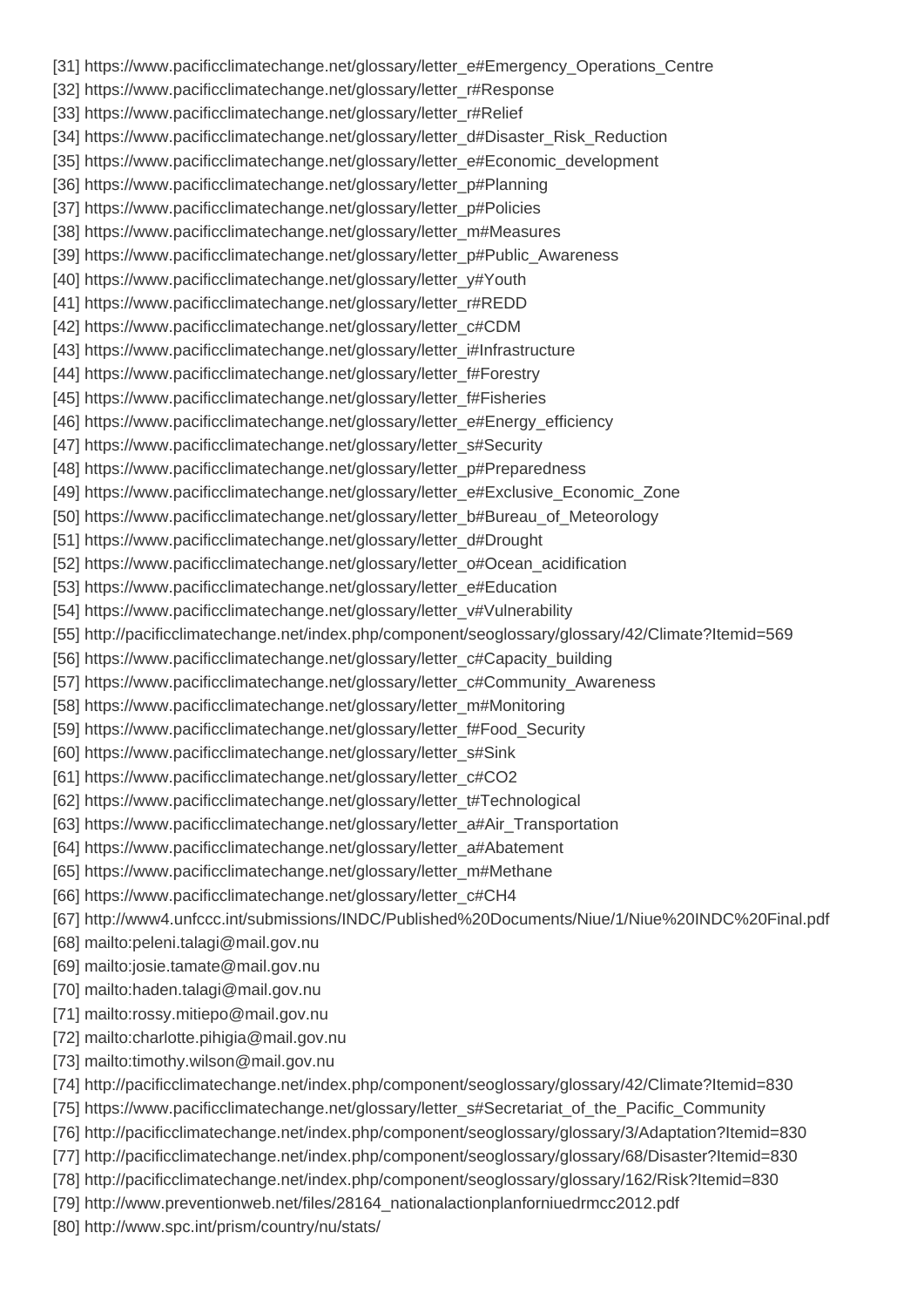[31] https://www.pacificclimatechange.net/glossary/letter\_e#Emergency\_Operations\_Centre [32] https://www.pacificclimatechange.net/glossary/letter\_r#Response [33] https://www.pacificclimatechange.net/glossary/letter\_r#Relief [34] https://www.pacificclimatechange.net/glossary/letter\_d#Disaster\_Risk\_Reduction [35] https://www.pacificclimatechange.net/glossary/letter\_e#Economic\_development [36] https://www.pacificclimatechange.net/glossary/letter\_p#Planning [37] https://www.pacificclimatechange.net/glossary/letter\_p#Policies [38] https://www.pacificclimatechange.net/glossary/letter\_m#Measures [39] https://www.pacificclimatechange.net/glossary/letter\_p#Public\_Awareness [40] https://www.pacificclimatechange.net/glossary/letter\_y#Youth [41] https://www.pacificclimatechange.net/glossary/letter\_r#REDD [42] https://www.pacificclimatechange.net/glossary/letter\_c#CDM [43] https://www.pacificclimatechange.net/glossary/letter\_i#Infrastructure [44] https://www.pacificclimatechange.net/glossary/letter\_f#Forestry [45] https://www.pacificclimatechange.net/glossary/letter\_f#Fisheries [46] https://www.pacificclimatechange.net/glossary/letter\_e#Energy\_efficiency [47] https://www.pacificclimatechange.net/glossary/letter\_s#Security [48] https://www.pacificclimatechange.net/glossary/letter\_p#Preparedness [49] https://www.pacificclimatechange.net/glossary/letter\_e#Exclusive\_Economic\_Zone [50] https://www.pacificclimatechange.net/glossary/letter\_b#Bureau\_of\_Meteorology [51] https://www.pacificclimatechange.net/glossary/letter\_d#Drought [52] https://www.pacificclimatechange.net/glossary/letter\_o#Ocean\_acidification [53] https://www.pacificclimatechange.net/glossary/letter\_e#Education [54] https://www.pacificclimatechange.net/glossary/letter\_v#Vulnerability [55] http://pacificclimatechange.net/index.php/component/seoglossary/glossary/42/Climate?Itemid=569 [56] https://www.pacificclimatechange.net/glossary/letter\_c#Capacity\_building [57] https://www.pacificclimatechange.net/glossary/letter\_c#Community\_Awareness [58] https://www.pacificclimatechange.net/glossary/letter\_m#Monitoring [59] https://www.pacificclimatechange.net/glossary/letter\_f#Food\_Security [60] https://www.pacificclimatechange.net/glossary/letter\_s#Sink [61] https://www.pacificclimatechange.net/glossary/letter\_c#CO2 [62] https://www.pacificclimatechange.net/glossary/letter\_t#Technological [63] https://www.pacificclimatechange.net/glossary/letter\_a#Air\_Transportation [64] https://www.pacificclimatechange.net/glossary/letter\_a#Abatement [65] https://www.pacificclimatechange.net/glossary/letter\_m#Methane [66] https://www.pacificclimatechange.net/glossary/letter\_c#CH4 [67] http://www4.unfccc.int/submissions/INDC/Published%20Documents/Niue/1/Niue%20INDC%20Final.pdf [68] mailto:peleni.talagi@mail.gov.nu [69] mailto:josie.tamate@mail.gov.nu [70] mailto:haden.talagi@mail.gov.nu [71] mailto:rossy.mitiepo@mail.gov.nu [72] mailto:charlotte.pihigia@mail.gov.nu [73] mailto:timothy.wilson@mail.gov.nu [74] http://pacificclimatechange.net/index.php/component/seoglossary/glossary/42/Climate?Itemid=830 [75] https://www.pacificclimatechange.net/glossary/letter\_s#Secretariat\_of\_the\_Pacific\_Community [76] http://pacificclimatechange.net/index.php/component/seoglossary/glossary/3/Adaptation?Itemid=830 [77] http://pacificclimatechange.net/index.php/component/seoglossary/glossary/68/Disaster?Itemid=830 [78] http://pacificclimatechange.net/index.php/component/seoglossary/glossary/162/Risk?Itemid=830 [79] http://www.preventionweb.net/files/28164\_nationalactionplanforniuedrmcc2012.pdf [80] http://www.spc.int/prism/country/nu/stats/